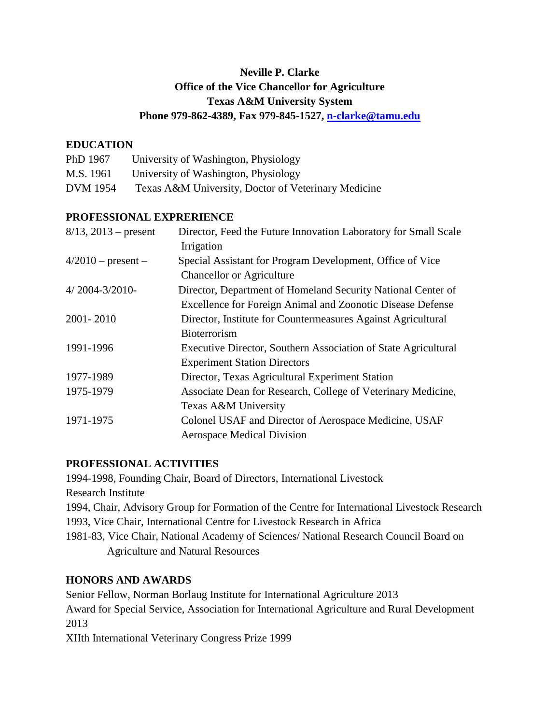# **Neville P. Clarke Office of the Vice Chancellor for Agriculture Texas A&M University System Phone 979-862-4389, Fax 979-845-1527, [n-clarke@tamu.edu](mailto:n-clarke@tamu.edu)**

### **EDUCATION**

| PhD 1967        | University of Washington, Physiology                |
|-----------------|-----------------------------------------------------|
| M.S. 1961       | University of Washington, Physiology                |
| <b>DVM</b> 1954 | Texas A&M University, Doctor of Veterinary Medicine |

### **PROFESSIONAL EXPRERIENCE**

| Director, Feed the Future Innovation Laboratory for Small Scale<br>Irrigation |
|-------------------------------------------------------------------------------|
| Special Assistant for Program Development, Office of Vice                     |
| <b>Chancellor or Agriculture</b>                                              |
| Director, Department of Homeland Security National Center of                  |
| Excellence for Foreign Animal and Zoonotic Disease Defense                    |
| Director, Institute for Countermeasures Against Agricultural                  |
| Bioterrorism                                                                  |
| Executive Director, Southern Association of State Agricultural                |
| <b>Experiment Station Directors</b>                                           |
| Director, Texas Agricultural Experiment Station                               |
| Associate Dean for Research, College of Veterinary Medicine,                  |
| Texas A&M University                                                          |
| Colonel USAF and Director of Aerospace Medicine, USAF                         |
| <b>Aerospace Medical Division</b>                                             |
|                                                                               |

### **PROFESSIONAL ACTIVITIES**

1994-1998, Founding Chair, Board of Directors, International Livestock Research Institute 1994, Chair, Advisory Group for Formation of the Centre for International Livestock Research 1993, Vice Chair, International Centre for Livestock Research in Africa 1981-83, Vice Chair, National Academy of Sciences/ National Research Council Board on Agriculture and Natural Resources

#### **HONORS AND AWARDS**

Senior Fellow, Norman Borlaug Institute for International Agriculture 2013 Award for Special Service, Association for International Agriculture and Rural Development 2013 XIIth International Veterinary Congress Prize 1999